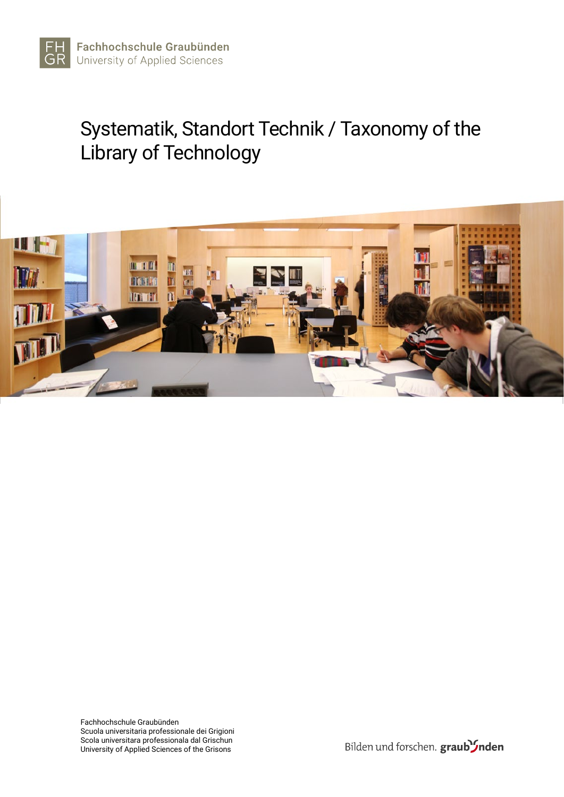

# Systematik, Standort Technik / Taxonomy of the Library of Technology

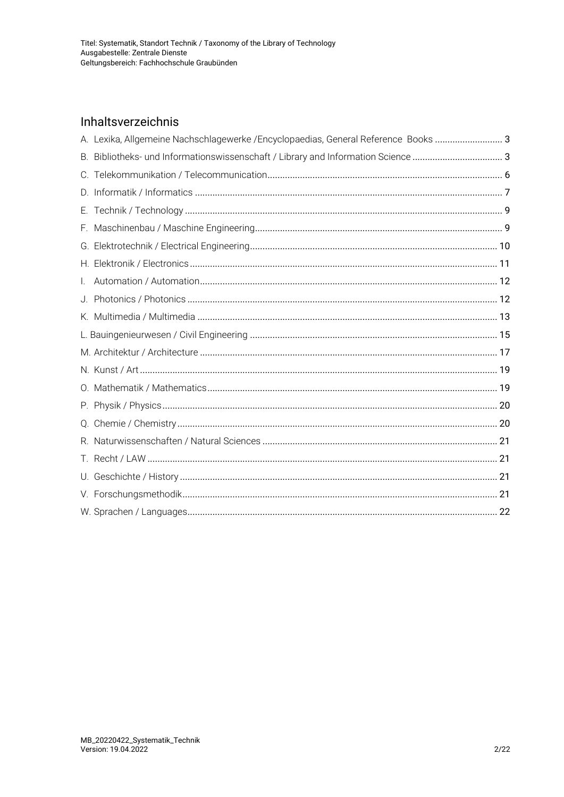# Inhaltsverzeichnis

<span id="page-1-0"></span>

|              | A. Lexika, Allgemeine Nachschlagewerke / Encyclopaedias, General Reference Books  3 |  |
|--------------|-------------------------------------------------------------------------------------|--|
|              |                                                                                     |  |
|              |                                                                                     |  |
|              |                                                                                     |  |
|              |                                                                                     |  |
|              |                                                                                     |  |
|              |                                                                                     |  |
|              |                                                                                     |  |
| $\mathbf{L}$ |                                                                                     |  |
|              |                                                                                     |  |
|              |                                                                                     |  |
|              |                                                                                     |  |
|              |                                                                                     |  |
|              |                                                                                     |  |
|              |                                                                                     |  |
|              |                                                                                     |  |
|              |                                                                                     |  |
|              |                                                                                     |  |
|              |                                                                                     |  |
|              |                                                                                     |  |
|              |                                                                                     |  |
|              |                                                                                     |  |
|              |                                                                                     |  |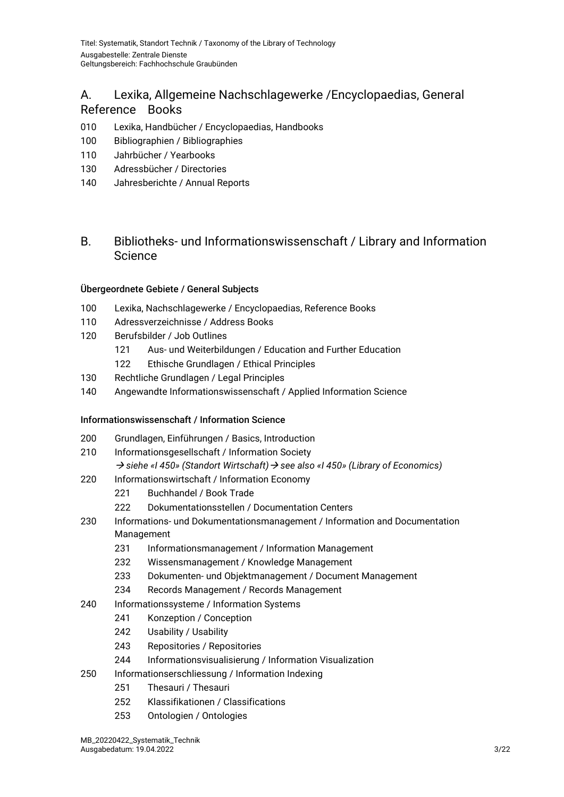# A. Lexika, Allgemeine Nachschlagewerke /Encyclopaedias, General Reference Books

- Lexika, Handbücher / Encyclopaedias, Handbooks
- Bibliographien / Bibliographies
- Jahrbücher / Yearbooks
- Adressbücher / Directories
- Jahresberichte / Annual Reports

# <span id="page-2-0"></span>B. Bibliotheks- und Informationswissenschaft / Library and Information **Science**

#### Übergeordnete Gebiete / General Subjects

- Lexika, Nachschlagewerke / Encyclopaedias, Reference Books
- Adressverzeichnisse / Address Books
- Berufsbilder / Job Outlines
	- Aus- und Weiterbildungen / Education and Further Education
	- Ethische Grundlagen / Ethical Principles
- Rechtliche Grundlagen / Legal Principles
- Angewandte Informationswissenschaft / Applied Information Science

#### Informationswissenschaft / Information Science

- Grundlagen, Einführungen / Basics, Introduction
- Informationsgesellschaft / Information Society
	- *siehe «I 450» (Standort Wirtschaft) see also «I 450» (Library of Economics)*
- Informationswirtschaft / Information Economy
	- Buchhandel / Book Trade
	- 222 Dokumentationsstellen / Documentation Centers
- Informations- und Dokumentationsmanagement / Information and Documentation Management
	- Informationsmanagement / Information Management
	- Wissensmanagement / Knowledge Management
	- Dokumenten- und Objektmanagement / Document Management
	- Records Management / Records Management
- Informationssysteme / Information Systems
	- Konzeption / Conception
	- Usability / Usability
	- Repositories / Repositories
	- Informationsvisualisierung / Information Visualization
- Informationserschliessung / Information Indexing
	- Thesauri / Thesauri
	- Klassifikationen / Classifications
	- Ontologien / Ontologies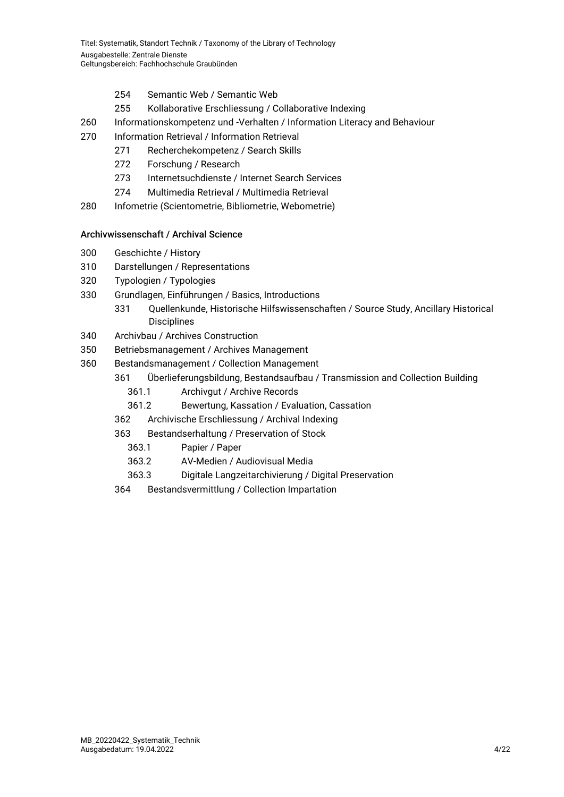- 254 Semantic Web / Semantic Web
- 255 Kollaborative Erschliessung / Collaborative Indexing
- 260 Informationskompetenz und -Verhalten / Information Literacy and Behaviour
- 270 Information Retrieval / Information Retrieval
	- 271 Recherchekompetenz / Search Skills
	- 272 Forschung / Research
	- 273 Internetsuchdienste / Internet Search Services
	- 274 Multimedia Retrieval / Multimedia Retrieval
- 280 Infometrie (Scientometrie, Bibliometrie, Webometrie)

#### Archivwissenschaft / Archival Science

- 300 Geschichte / History
- 310 Darstellungen / Representations
- 320 Typologien / Typologies
- 330 Grundlagen, Einführungen / Basics, Introductions
	- 331 Quellenkunde, Historische Hilfswissenschaften / Source Study, Ancillary Historical Disciplines
- 340 Archivbau / Archives Construction
- 350 Betriebsmanagement / Archives Management
- 360 Bestandsmanagement / Collection Management
	- 361 Überlieferungsbildung, Bestandsaufbau / Transmission and Collection Building
		- 361.1 Archivgut / Archive Records
		- 361.2 Bewertung, Kassation / Evaluation, Cassation
	- 362 Archivische Erschliessung / Archival Indexing
	- 363 Bestandserhaltung / Preservation of Stock
		- 363.1 Papier / Paper
		- 363.2 AV-Medien / Audiovisual Media
		- 363.3 Digitale Langzeitarchivierung / Digital Preservation
	- 364 Bestandsvermittlung / Collection Impartation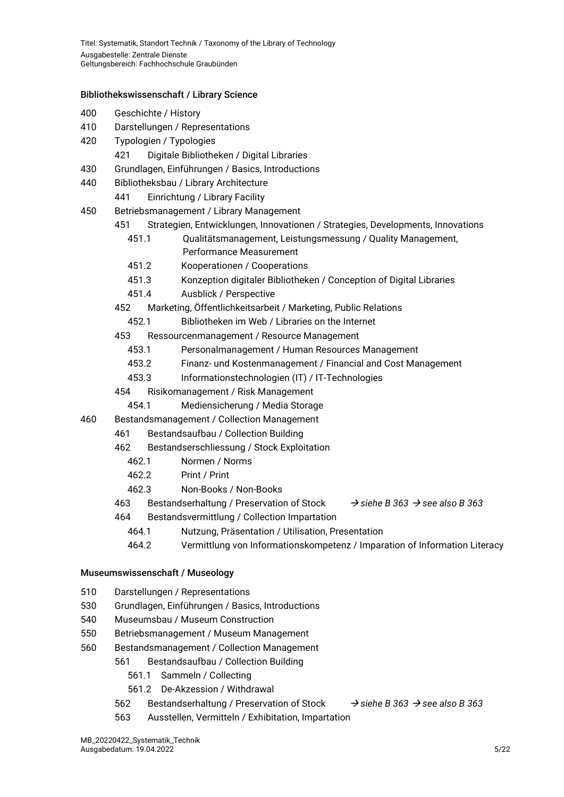#### Bibliothekswissenschaft / Library Science

- 400 Geschichte / History
- 410 Darstellungen / Representations
- 420 Typologien / Typologies
	- 421 Digitale Bibliotheken / Digital Libraries
- 430 Grundlagen, Einführungen / Basics, Introductions
- 440 Bibliotheksbau / Library Architecture
	- 441 Einrichtung / Library Facility
- 450 Betriebsmanagement / Library Management
	- 451 Strategien, Entwicklungen, Innovationen / Strategies, Developments, Innovations
		- 451.1 Qualitätsmanagement, Leistungsmessung / Quality Management, Performance Measurement
		- 451.2 Kooperationen / Cooperations
		- 451.3 Konzeption digitaler Bibliotheken / Conception of Digital Libraries
		- 451.4 Ausblick / Perspective
	- 452 Marketing, Öffentlichkeitsarbeit / Marketing, Public Relations
		- 452.1 Bibliotheken im Web / Libraries on the Internet
	- 453 Ressourcenmanagement / Resource Management
		- 453.1 Personalmanagement / Human Resources Management
		- 453.2 Finanz- und Kostenmanagement / Financial and Cost Management
		- 453.3 Informationstechnologien (IT) / IT-Technologies
	- 454 Risikomanagement / Risk Management
		- 454.1 Mediensicherung / Media Storage
- 460 Bestandsmanagement / Collection Management
	- 461 Bestandsaufbau / Collection Building
	- 462 Bestandserschliessung / Stock Exploitation
		- 462.1 Normen / Norms
		- 462.2 Print / Print
		- 462.3 Non-Books / Non-Books
	- 463 Bestandserhaltung / Preservation of Stock *siehe B 363 see also B 363*
	- 464 Bestandsvermittlung / Collection Impartation
		- 464.1 Nutzung, Präsentation / Utilisation, Presentation
		- 464.2 Vermittlung von Informationskompetenz / Imparation of Information Literacy

#### Museumswissenschaft / Museology

- 510 Darstellungen / Representations
- 530 Grundlagen, Einführungen / Basics, Introductions
- 540 Museumsbau / Museum Construction
- 550 Betriebsmanagement / Museum Management
- 560 Bestandsmanagement / Collection Management
	- 561 Bestandsaufbau / Collection Building
		- 561.1 Sammeln / Collecting
		- 561.2 De-Akzession / Withdrawal
	- 562 Bestandserhaltung / Preservation of Stock *siehe B 363 see also B 363*
	- 563 Ausstellen, Vermitteln / Exhibitation, Impartation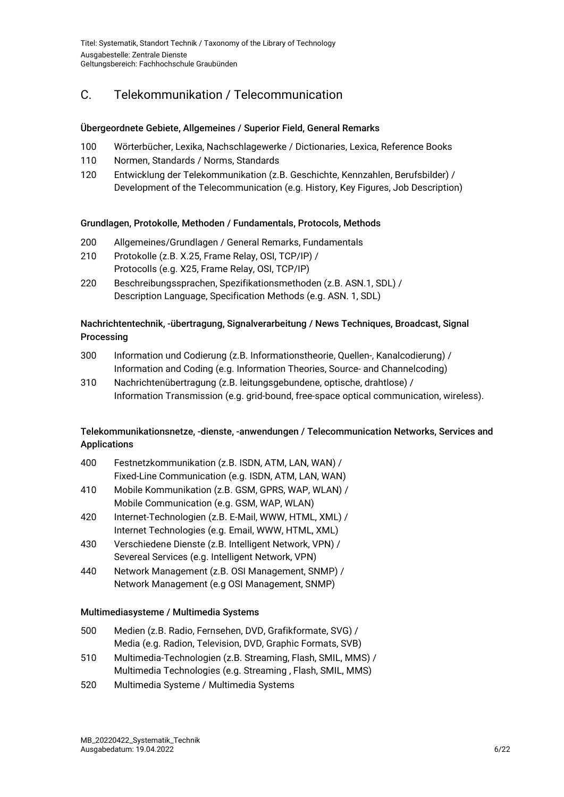# <span id="page-5-0"></span>C. Telekommunikation / Telecommunication

#### Übergeordnete Gebiete, Allgemeines / Superior Field, General Remarks

- 100 Wörterbücher, Lexika, Nachschlagewerke / Dictionaries, Lexica, Reference Books
- 110 Normen, Standards / Norms, Standards
- 120 Entwicklung der Telekommunikation (z.B. Geschichte, Kennzahlen, Berufsbilder) / Development of the Telecommunication (e.g. History, Key Figures, Job Description)

#### Grundlagen, Protokolle, Methoden / Fundamentals, Protocols, Methods

- 200 Allgemeines/Grundlagen / General Remarks, Fundamentals
- 210 Protokolle (z.B. X.25, Frame Relay, OSI, TCP/IP) / Protocolls (e.g. X25, Frame Relay, OSI, TCP/IP)
- 220 Beschreibungssprachen, Spezifikationsmethoden (z.B. ASN.1, SDL) / Description Language, Specification Methods (e.g. ASN. 1, SDL)

#### Nachrichtentechnik, -übertragung, Signalverarbeitung / News Techniques, Broadcast, Signal **Processing**

- 300 Information und Codierung (z.B. Informationstheorie, Quellen-, Kanalcodierung) / Information and Coding (e.g. Information Theories, Source- and Channelcoding)
- 310 Nachrichtenübertragung (z.B. leitungsgebundene, optische, drahtlose) / Information Transmission (e.g. grid-bound, free-space optical communication, wireless).

#### Telekommunikationsnetze, -dienste, -anwendungen / Telecommunication Networks, Services and Applications

- 400 Festnetzkommunikation (z.B. ISDN, ATM, LAN, WAN) / Fixed-Line Communication (e.g. ISDN, ATM, LAN, WAN)
- 410 Mobile Kommunikation (z.B. GSM, GPRS, WAP, WLAN) / Mobile Communication (e.g. GSM, WAP, WLAN)
- 420 Internet-Technologien (z.B. E-Mail, WWW, HTML, XML) / Internet Technologies (e.g. Email, WWW, HTML, XML)
- 430 Verschiedene Dienste (z.B. Intelligent Network, VPN) / Severeal Services (e.g. Intelligent Network, VPN)
- 440 Network Management (z.B. OSI Management, SNMP) / Network Management (e.g OSI Management, SNMP)

#### Multimediasysteme / Multimedia Systems

- 500 Medien (z.B. Radio, Fernsehen, DVD, Grafikformate, SVG) / Media (e.g. Radion, Television, DVD, Graphic Formats, SVB)
- 510 Multimedia-Technologien (z.B. Streaming, Flash, SMIL, MMS) / Multimedia Technologies (e.g. Streaming , Flash, SMIL, MMS)
- 520 Multimedia Systeme / Multimedia Systems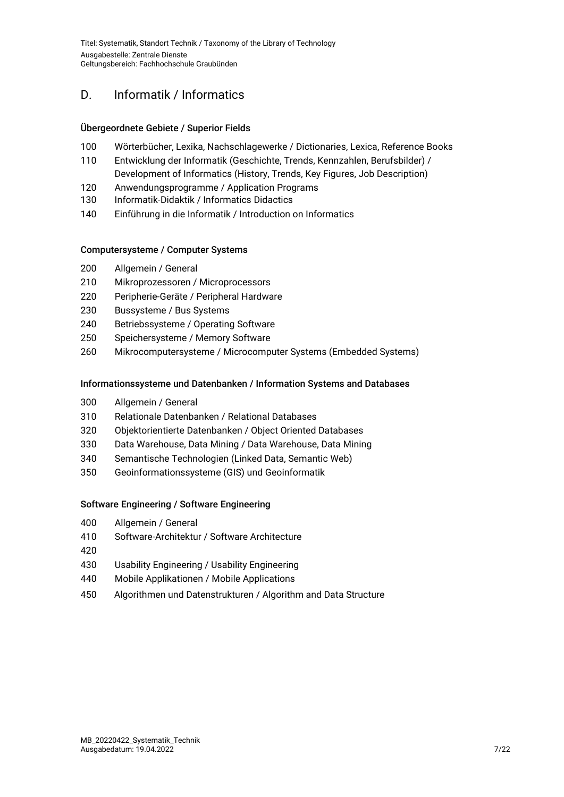# <span id="page-6-0"></span>D. Informatik / Informatics

#### Übergeordnete Gebiete / Superior Fields

- Wörterbücher, Lexika, Nachschlagewerke / Dictionaries, Lexica, Reference Books
- Entwicklung der Informatik (Geschichte, Trends, Kennzahlen, Berufsbilder) / Development of Informatics (History, Trends, Key Figures, Job Description)
- Anwendungsprogramme / Application Programs
- Informatik-Didaktik / Informatics Didactics
- Einführung in die Informatik / Introduction on Informatics

#### Computersysteme / Computer Systems

- Allgemein / General
- Mikroprozessoren / Microprocessors
- Peripherie-Geräte / Peripheral Hardware
- Bussysteme / Bus Systems
- Betriebssysteme / Operating Software
- Speichersysteme / Memory Software
- Mikrocomputersysteme / Microcomputer Systems (Embedded Systems)

#### Informationssysteme und Datenbanken / Information Systems and Databases

- Allgemein / General
- Relationale Datenbanken / Relational Databases
- Objektorientierte Datenbanken / Object Oriented Databases
- Data Warehouse, Data Mining / Data Warehouse, Data Mining
- Semantische Technologien (Linked Data, Semantic Web)
- Geoinformationssysteme (GIS) und Geoinformatik

#### Software Engineering / Software Engineering

- Allgemein / General
- Software-Architektur / Software Architecture
- 
- Usability Engineering / Usability Engineering
- Mobile Applikationen / Mobile Applications
- Algorithmen und Datenstrukturen / Algorithm and Data Structure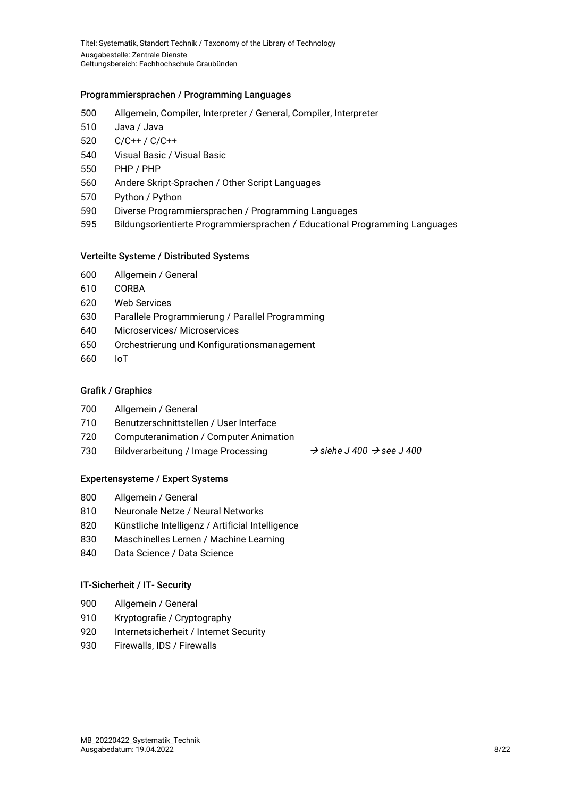#### Programmiersprachen / Programming Languages

- Allgemein, Compiler, Interpreter / General, Compiler, Interpreter
- Java / Java
- C/C++ / C/C++
- Visual Basic / Visual Basic
- PHP / PHP
- Andere Skript-Sprachen / Other Script Languages
- Python / Python
- Diverse Programmiersprachen / Programming Languages
- Bildungsorientierte Programmiersprachen / Educational Programming Languages

#### Verteilte Systeme / Distributed Systems

- Allgemein / General
- CORBA
- Web Services
- Parallele Programmierung / Parallel Programming
- Microservices/ Microservices
- Orchestrierung und Konfigurationsmanagement
- IoT

#### Grafik / Graphics

- Allgemein / General
- Benutzerschnittstellen / User Interface
- Computeranimation / Computer Animation
- Bildverarbeitung / Image Processing *siehe J 400 see J 400* 
	-

#### Expertensysteme / Expert Systems

- Allgemein / General
- Neuronale Netze / Neural Networks
- Künstliche Intelligenz / Artificial Intelligence
- Maschinelles Lernen / Machine Learning
- Data Science / Data Science

#### IT-Sicherheit / IT- Security

- Allgemein / General
- Kryptografie / Cryptography
- Internetsicherheit / Internet Security
- Firewalls, IDS / Firewalls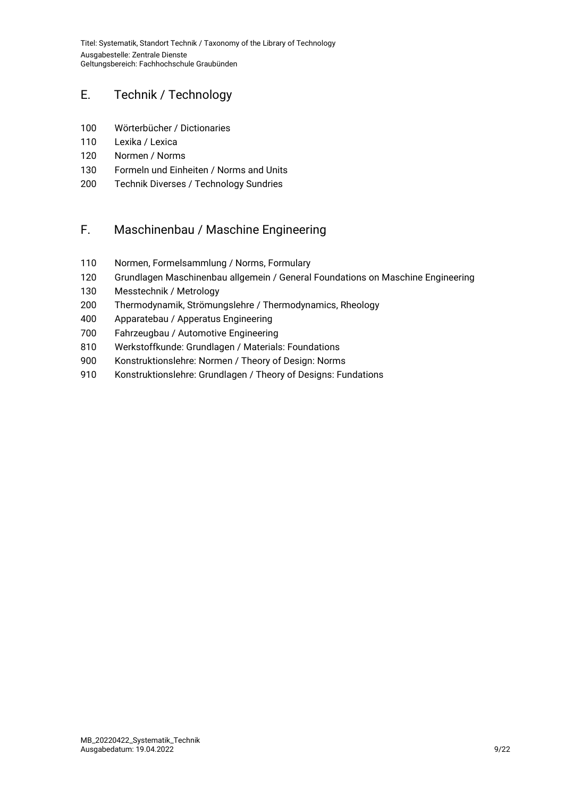# <span id="page-8-0"></span>E. Technik / Technology

- Wörterbücher / Dictionaries
- Lexika / Lexica
- Normen / Norms
- Formeln und Einheiten / Norms and Units
- Technik Diverses / Technology Sundries

# <span id="page-8-1"></span>F. Maschinenbau / Maschine Engineering

- Normen, Formelsammlung / Norms, Formulary
- Grundlagen Maschinenbau allgemein / General Foundations on Maschine Engineering
- Messtechnik / Metrology
- Thermodynamik, Strömungslehre / Thermodynamics, Rheology
- Apparatebau / Apperatus Engineering
- Fahrzeugbau / Automotive Engineering
- Werkstoffkunde: Grundlagen / Materials: Foundations
- Konstruktionslehre: Normen / Theory of Design: Norms
- 910 Konstruktionslehre: Grundlagen / Theory of Designs: Fundations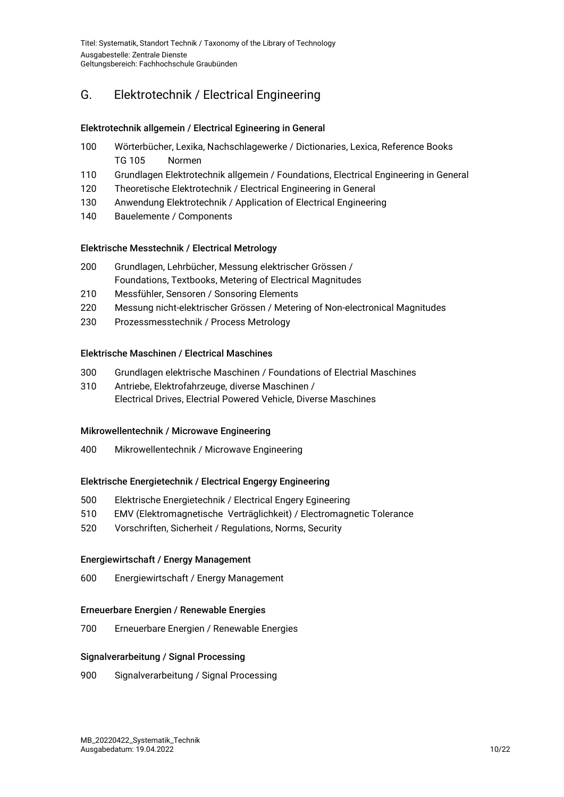# <span id="page-9-0"></span>G. Elektrotechnik / Electrical Engineering

#### Elektrotechnik allgemein / Electrical Egineering in General

- 100 Wörterbücher, Lexika, Nachschlagewerke / Dictionaries, Lexica, Reference Books TG 105 Normen
- 110 Grundlagen Elektrotechnik allgemein / Foundations, Electrical Engineering in General
- 120 Theoretische Elektrotechnik / Electrical Engineering in General
- 130 Anwendung Elektrotechnik / Application of Electrical Engineering
- 140 Bauelemente / Components

#### Elektrische Messtechnik / Electrical Metrology

- 200 Grundlagen, Lehrbücher, Messung elektrischer Grössen / Foundations, Textbooks, Metering of Electrical Magnitudes
- 210 Messfühler, Sensoren / Sonsoring Elements
- 220 Messung nicht-elektrischer Grössen / Metering of Non-electronical Magnitudes
- 230 Prozessmesstechnik / Process Metrology

#### Elektrische Maschinen / Electrical Maschines

- 300 Grundlagen elektrische Maschinen / Foundations of Electrial Maschines
- 310 Antriebe, Elektrofahrzeuge, diverse Maschinen / Electrical Drives, Electrial Powered Vehicle, Diverse Maschines

#### Mikrowellentechnik / Microwave Engineering

400 Mikrowellentechnik / Microwave Engineering

#### Elektrische Energietechnik / Electrical Engergy Engineering

- 500 Elektrische Energietechnik / Electrical Engery Egineering
- 510 EMV (Elektromagnetische Verträglichkeit) / Electromagnetic Tolerance
- 520 Vorschriften, Sicherheit / Regulations, Norms, Security

#### Energiewirtschaft / Energy Management

600 Energiewirtschaft / Energy Management

#### Erneuerbare Energien / Renewable Energies

700 Erneuerbare Energien / Renewable Energies

#### Signalverarbeitung / Signal Processing

900 Signalverarbeitung / Signal Processing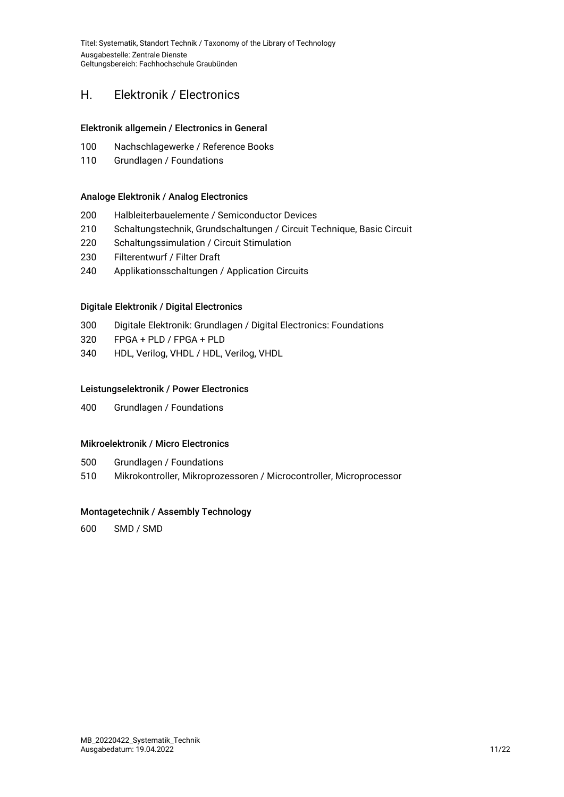### <span id="page-10-0"></span>H. Elektronik / Electronics

#### Elektronik allgemein / Electronics in General

- 100 Nachschlagewerke / Reference Books
- 110 Grundlagen / Foundations

#### Analoge Elektronik / Analog Electronics

- 200 Halbleiterbauelemente / Semiconductor Devices
- 210 Schaltungstechnik, Grundschaltungen / Circuit Technique, Basic Circuit
- 220 Schaltungssimulation / Circuit Stimulation
- 230 Filterentwurf / Filter Draft
- 240 Applikationsschaltungen / Application Circuits

#### Digitale Elektronik / Digital Electronics

- 300 Digitale Elektronik: Grundlagen / Digital Electronics: Foundations
- 320 FPGA + PLD / FPGA + PLD
- 340 HDL, Verilog, VHDL / HDL, Verilog, VHDL

#### Leistungselektronik / Power Electronics

400 Grundlagen / Foundations

#### Mikroelektronik / Micro Electronics

- 500 Grundlagen / Foundations
- 510 Mikrokontroller, Mikroprozessoren / Microcontroller, Microprocessor

#### Montagetechnik / Assembly Technology

600 SMD / SMD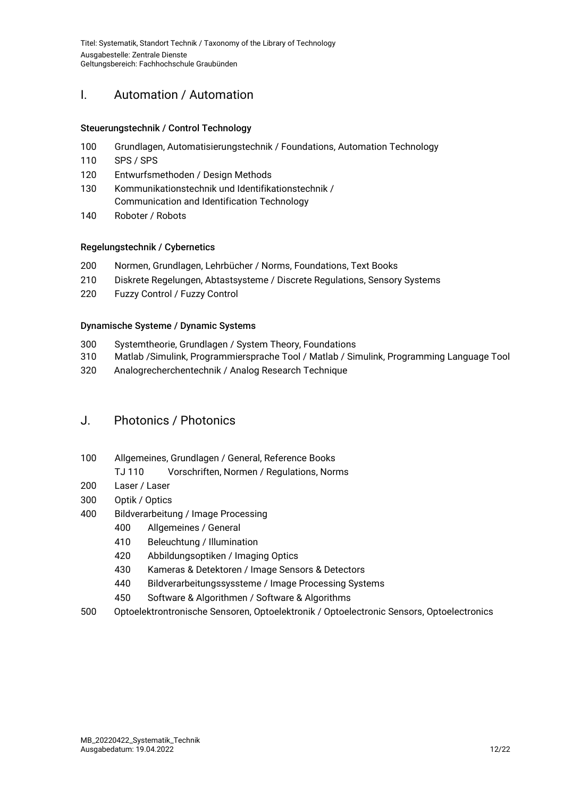# <span id="page-11-0"></span>I. Automation / Automation

#### Steuerungstechnik / Control Technology

- 100 Grundlagen, Automatisierungstechnik / Foundations, Automation Technology
- 110 SPS / SPS
- 120 Entwurfsmethoden / Design Methods
- 130 Kommunikationstechnik und Identifikationstechnik / Communication and Identification Technology
- 140 Roboter / Robots

#### Regelungstechnik / Cybernetics

- 200 Normen, Grundlagen, Lehrbücher / Norms, Foundations, Text Books
- 210 Diskrete Regelungen, Abtastsysteme / Discrete Regulations, Sensory Systems
- 220 Fuzzy Control / Fuzzy Control

#### Dynamische Systeme / Dynamic Systems

- 300 Systemtheorie, Grundlagen / System Theory, Foundations
- 310 Matlab /Simulink, Programmiersprache Tool / Matlab / Simulink, Programming Language Tool
- 320 Analogrecherchentechnik / Analog Research Technique

### <span id="page-11-1"></span>J. Photonics / Photonics

- 100 Allgemeines, Grundlagen / General, Reference Books
	- TJ 110 Vorschriften, Normen / Regulations, Norms
- 200 Laser / Laser
- 300 Optik / Optics
- 400 Bildverarbeitung / Image Processing
	- 400 Allgemeines / General
	- 410 Beleuchtung / Illumination
	- 420 Abbildungsoptiken / Imaging Optics
	- 430 Kameras & Detektoren / Image Sensors & Detectors
	- 440 Bildverarbeitungssyssteme / Image Processing Systems
	- 450 Software & Algorithmen / Software & Algorithms
- 500 Optoelektrontronische Sensoren, Optoelektronik / Optoelectronic Sensors, Optoelectronics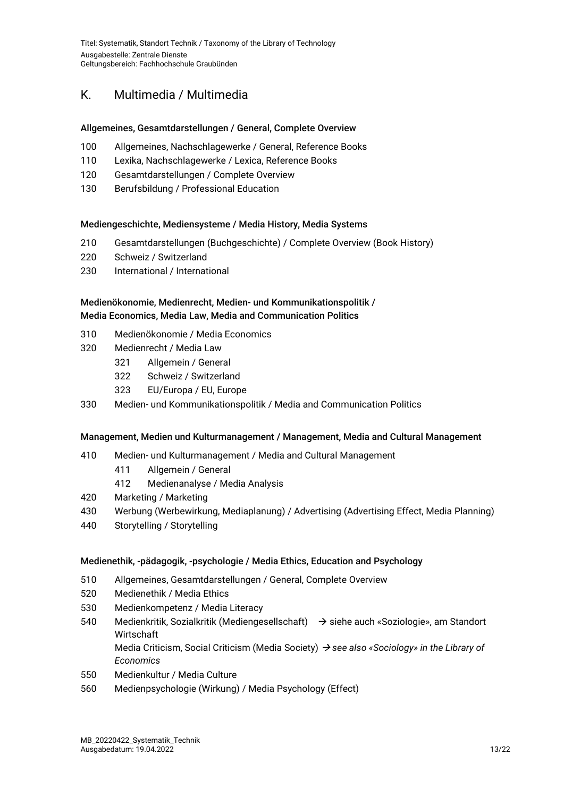# <span id="page-12-0"></span>K. Multimedia / Multimedia

#### Allgemeines, Gesamtdarstellungen / General, Complete Overview

- 100 Allgemeines, Nachschlagewerke / General, Reference Books
- 110 Lexika, Nachschlagewerke / Lexica, Reference Books
- 120 Gesamtdarstellungen / Complete Overview
- 130 Berufsbildung / Professional Education

#### Mediengeschichte, Mediensysteme / Media History, Media Systems

- 210 Gesamtdarstellungen (Buchgeschichte) / Complete Overview (Book History)
- 220 Schweiz / Switzerland
- 230 International / International

#### Medienökonomie, Medienrecht, Medien- und Kommunikationspolitik / Media Economics, Media Law, Media and Communication Politics

- 310 Medienökonomie / Media Economics
- 320 Medienrecht / Media Law
	- 321 Allgemein / General
	- 322 Schweiz / Switzerland
	- 323 EU/Europa / EU, Europe
- 330 Medien- und Kommunikationspolitik / Media and Communication Politics

#### Management, Medien und Kulturmanagement / Management, Media and Cultural Management

- 410 Medien- und Kulturmanagement / Media and Cultural Management
	- 411 Allgemein / General
	- 412 Medienanalyse / Media Analysis
- 420 Marketing / Marketing
- 430 Werbung (Werbewirkung, Mediaplanung) / Advertising (Advertising Effect, Media Planning)
- 440 Storytelling / Storytelling

#### Medienethik, -pädagogik, -psychologie / Media Ethics, Education and Psychology

- 510 Allgemeines, Gesamtdarstellungen / General, Complete Overview
- 520 Medienethik / Media Ethics
- 530 Medienkompetenz / Media Literacy
- 540 Medienkritik, Sozialkritik (Mediengesellschaft)  $\rightarrow$  siehe auch «Soziologie», am Standort **Wirtschaft**

Media Criticism, Social Criticism (Media Society) *see also «Sociology» in the Library of Economics*

- 550 Medienkultur / Media Culture
- 560 Medienpsychologie (Wirkung) / Media Psychology (Effect)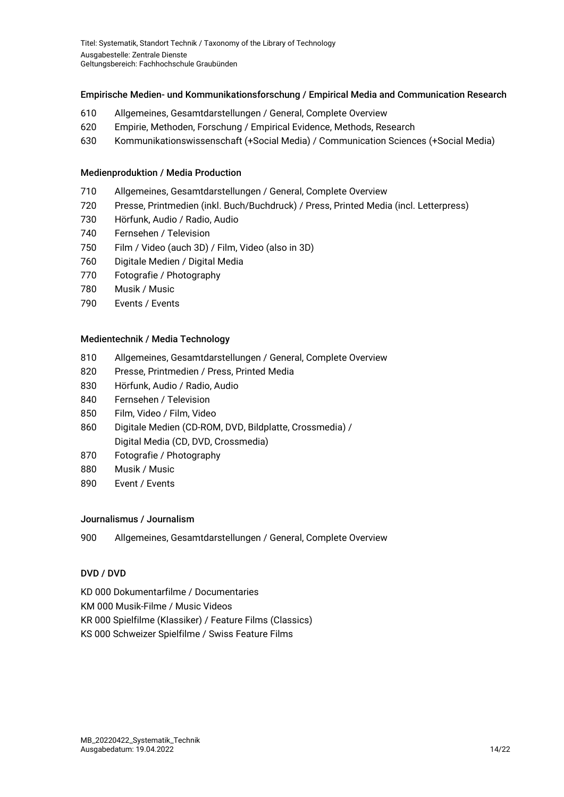#### Empirische Medien- und Kommunikationsforschung / Empirical Media and Communication Research

- 610 Allgemeines, Gesamtdarstellungen / General, Complete Overview
- 620 Empirie, Methoden, Forschung / Empirical Evidence, Methods, Research
- 630 Kommunikationswissenschaft (+Social Media) / Communication Sciences (+Social Media)

#### Medienproduktion / Media Production

- 710 Allgemeines, Gesamtdarstellungen / General, Complete Overview
- 720 Presse, Printmedien (inkl. Buch/Buchdruck) / Press, Printed Media (incl. Letterpress)
- 730 Hörfunk, Audio / Radio, Audio
- 740 Fernsehen / Television
- 750 Film / Video (auch 3D) / Film, Video (also in 3D)
- 760 Digitale Medien / Digital Media
- 770 Fotografie / Photography
- 780 Musik / Music
- 790 Events / Events

#### Medientechnik / Media Technology

- 810 Allgemeines, Gesamtdarstellungen / General, Complete Overview
- 820 Presse, Printmedien / Press, Printed Media
- 830 Hörfunk, Audio / Radio, Audio
- 840 Fernsehen / Television
- 850 Film, Video / Film, Video
- 860 Digitale Medien (CD-ROM, DVD, Bildplatte, Crossmedia) / Digital Media (CD, DVD, Crossmedia)
- 870 Fotografie / Photography
- 880 Musik / Music
- 890 Event / Events

#### Journalismus / Journalism

900 Allgemeines, Gesamtdarstellungen / General, Complete Overview

#### DVD / DVD

KD 000 Dokumentarfilme / Documentaries KM 000 Musik-Filme / Music Videos KR 000 Spielfilme (Klassiker) / Feature Films (Classics) KS 000 Schweizer Spielfilme / Swiss Feature Films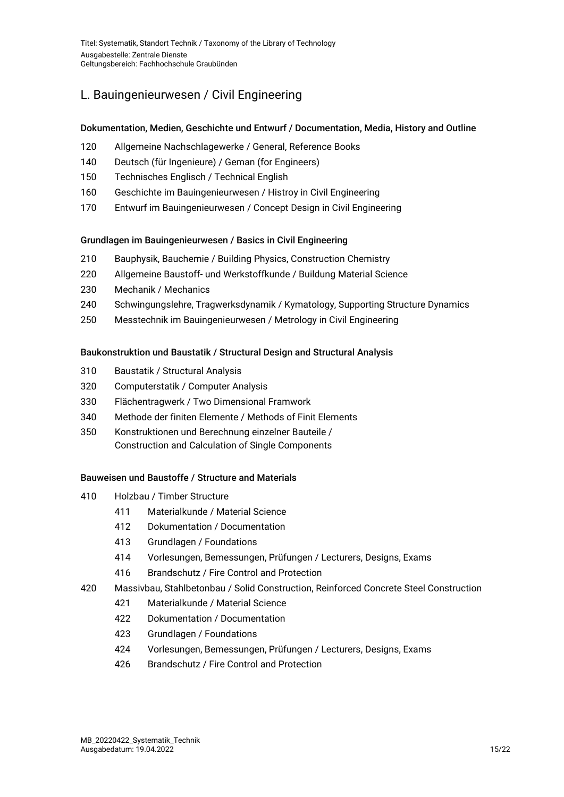# <span id="page-14-0"></span>L. Bauingenieurwesen / Civil Engineering

#### Dokumentation, Medien, Geschichte und Entwurf / Documentation, Media, History and Outline

- 120 Allgemeine Nachschlagewerke / General, Reference Books
- 140 Deutsch (für Ingenieure) / Geman (for Engineers)
- 150 Technisches Englisch / Technical English
- 160 Geschichte im Bauingenieurwesen / Histroy in Civil Engineering
- 170 Entwurf im Bauingenieurwesen / Concept Design in Civil Engineering

#### Grundlagen im Bauingenieurwesen / Basics in Civil Engineering

- 210 Bauphysik, Bauchemie / Building Physics, Construction Chemistry
- 220 Allgemeine Baustoff- und Werkstoffkunde / Buildung Material Science
- 230 Mechanik / Mechanics
- 240 Schwingungslehre, Tragwerksdynamik / Kymatology, Supporting Structure Dynamics
- 250 Messtechnik im Bauingenieurwesen / Metrology in Civil Engineering

#### Baukonstruktion und Baustatik / Structural Design and Structural Analysis

- 310 Baustatik / Structural Analysis
- 320 Computerstatik / Computer Analysis
- 330 Flächentragwerk / Two Dimensional Framwork
- 340 Methode der finiten Elemente / Methods of Finit Elements
- 350 Konstruktionen und Berechnung einzelner Bauteile / Construction and Calculation of Single Components

#### Bauweisen und Baustoffe / Structure and Materials

- 410 Holzbau / Timber Structure
	- 411 Materialkunde / Material Science
	- 412 Dokumentation / Documentation
	- 413 Grundlagen / Foundations
	- 414 Vorlesungen, Bemessungen, Prüfungen / Lecturers, Designs, Exams
	- 416 Brandschutz / Fire Control and Protection
- 420 Massivbau, Stahlbetonbau / Solid Construction, Reinforced Concrete Steel Construction
	- 421 Materialkunde / Material Science
	- 422 Dokumentation / Documentation
	- 423 Grundlagen / Foundations
	- 424 Vorlesungen, Bemessungen, Prüfungen / Lecturers, Designs, Exams
	- 426 Brandschutz / Fire Control and Protection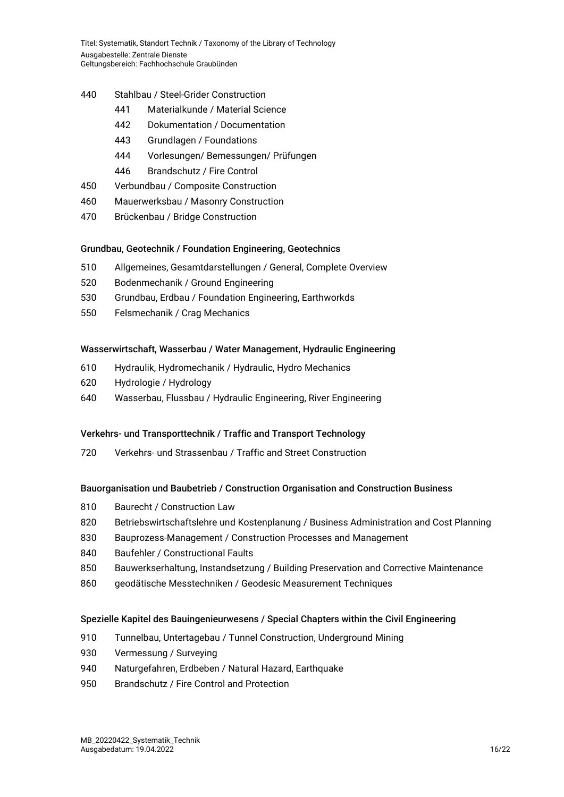- 440 Stahlbau / Steel-Grider Construction
	- 441 Materialkunde / Material Science
	- 442 Dokumentation / Documentation
	- 443 Grundlagen / Foundations
	- 444 Vorlesungen/ Bemessungen/ Prüfungen
	- 446 Brandschutz / Fire Control
- 450 Verbundbau / Composite Construction
- 460 Mauerwerksbau / Masonry Construction
- 470 Brückenbau / Bridge Construction

#### Grundbau, Geotechnik / Foundation Engineering, Geotechnics

- 510 Allgemeines, Gesamtdarstellungen / General, Complete Overview
- 520 Bodenmechanik / Ground Engineering
- 530 Grundbau, Erdbau / Foundation Engineering, Earthworkds
- 550 Felsmechanik / Crag Mechanics

#### Wasserwirtschaft, Wasserbau / Water Management, Hydraulic Engineering

- 610 Hydraulik, Hydromechanik / Hydraulic, Hydro Mechanics
- 620 Hydrologie / Hydrology
- 640 Wasserbau, Flussbau / Hydraulic Engineering, River Engineering

#### Verkehrs- und Transporttechnik / Traffic and Transport Technology

720 Verkehrs- und Strassenbau / Traffic and Street Construction

#### Bauorganisation und Baubetrieb / Construction Organisation and Construction Business

- 810 Baurecht / Construction Law
- 820 Betriebswirtschaftslehre und Kostenplanung / Business Administration and Cost Planning
- 830 Bauprozess-Management / Construction Processes and Management
- 840 Baufehler / Constructional Faults
- 850 Bauwerkserhaltung, Instandsetzung / Building Preservation and Corrective Maintenance
- 860 geodätische Messtechniken / Geodesic Measurement Techniques

#### Spezielle Kapitel des Bauingenieurwesens / Special Chapters within the Civil Engineering

- 910 Tunnelbau, Untertagebau / Tunnel Construction, Underground Mining
- 930 Vermessung / Surveying
- 940 Naturgefahren, Erdbeben / Natural Hazard, Earthquake
- 950 Brandschutz / Fire Control and Protection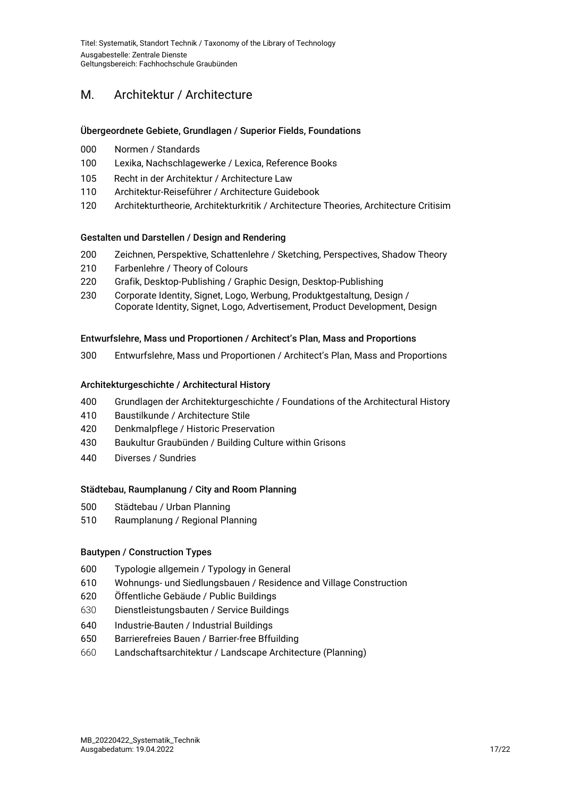# <span id="page-16-0"></span>M. Architektur / Architecture

#### Übergeordnete Gebiete, Grundlagen / Superior Fields, Foundations

- Normen / Standards
- Lexika, Nachschlagewerke / Lexica, Reference Books
- Recht in der Architektur / Architecture Law
- Architektur-Reiseführer / Architecture Guidebook
- Architekturtheorie, Architekturkritik / Architecture Theories, Architecture Critisim

#### Gestalten und Darstellen / Design and Rendering

- Zeichnen, Perspektive, Schattenlehre / Sketching, Perspectives, Shadow Theory
- Farbenlehre / Theory of Colours
- Grafik, Desktop-Publishing / Graphic Design, Desktop-Publishing
- Corporate Identity, Signet, Logo, Werbung, Produktgestaltung, Design / Coporate Identity, Signet, Logo, Advertisement, Product Development, Design

#### Entwurfslehre, Mass und Proportionen / Architect's Plan, Mass and Proportions

Entwurfslehre, Mass und Proportionen / Architect's Plan, Mass and Proportions

#### Architekturgeschichte / Architectural History

- Grundlagen der Architekturgeschichte / Foundations of the Architectural History
- Baustilkunde / Architecture Stile
- Denkmalpflege / Historic Preservation
- Baukultur Graubünden / Building Culture within Grisons
- Diverses / Sundries

#### Städtebau, Raumplanung / City and Room Planning

- Städtebau / Urban Planning
- Raumplanung / Regional Planning

#### Bautypen / Construction Types

- Typologie allgemein / Typology in General
- Wohnungs- und Siedlungsbauen / Residence and Village Construction
- Öffentliche Gebäude / Public Buildings
- Dienstleistungsbauten / Service Buildings
- Industrie-Bauten / Industrial Buildings
- Barrierefreies Bauen / Barrier-free Bffuilding
- Landschaftsarchitektur / Landscape Architecture (Planning)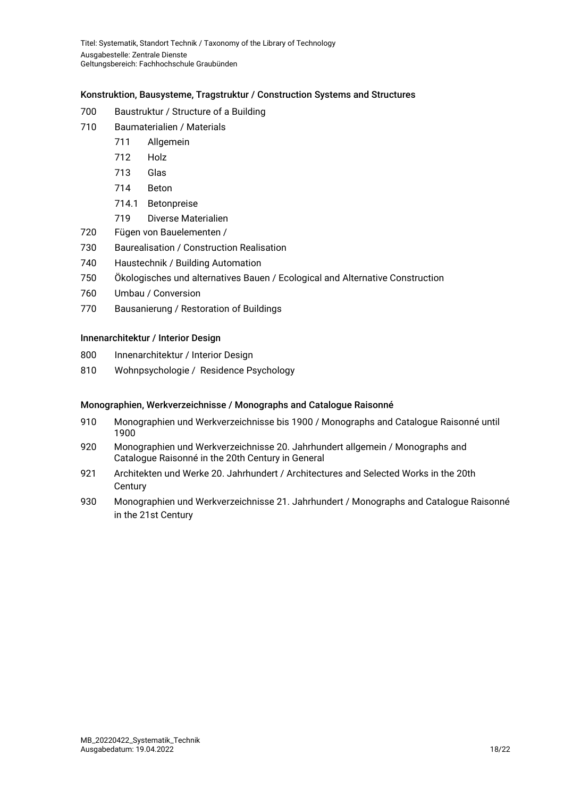#### Konstruktion, Bausysteme, Tragstruktur / Construction Systems and Structures

- Baustruktur / Structure of a Building
- Baumaterialien / Materials
	- Allgemein
		- Holz
		- Glas
		- Beton
		- 714.1 Betonpreise
		- Diverse Materialien
- Fügen von Bauelementen /
- Baurealisation / Construction Realisation
- Haustechnik / Building Automation
- Ökologisches und alternatives Bauen / Ecological and Alternative Construction
- Umbau / Conversion
- Bausanierung / Restoration of Buildings

#### Innenarchitektur / Interior Design

- Innenarchitektur / Interior Design
- Wohnpsychologie / Residence Psychology

#### Monographien, Werkverzeichnisse / Monographs and Catalogue Raisonné

- Monographien und Werkverzeichnisse bis 1900 / Monographs and Catalogue Raisonné until
- Monographien und Werkverzeichnisse 20. Jahrhundert allgemein / Monographs and Catalogue Raisonné in the 20th Century in General
- Architekten und Werke 20. Jahrhundert / Architectures and Selected Works in the 20th **Century**
- <span id="page-17-0"></span> Monographien und Werkverzeichnisse 21. Jahrhundert / Monographs and Catalogue Raisonné in the 21st Century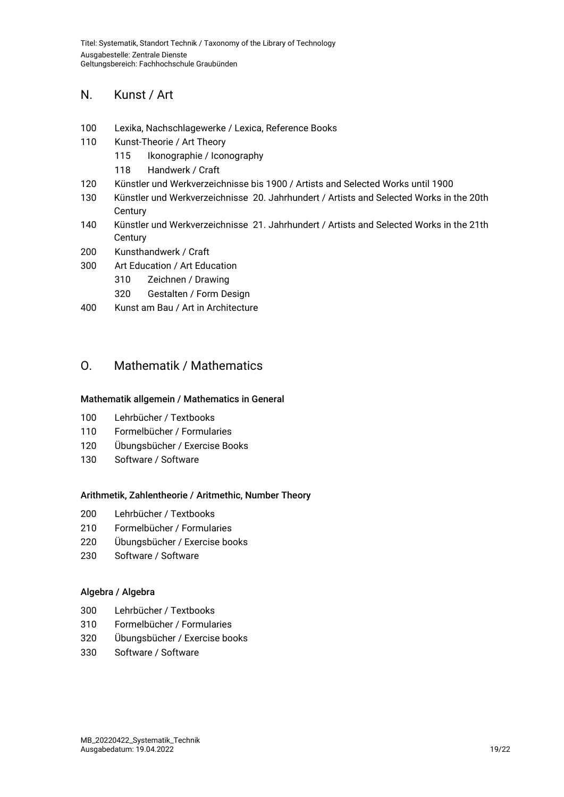### N. Kunst / Art

- Lexika, Nachschlagewerke / Lexica, Reference Books
- Kunst-Theorie / Art Theory
	- Ikonographie / Iconography
	- Handwerk / Craft
- Künstler und Werkverzeichnisse bis 1900 / Artists and Selected Works until 1900
- Künstler und Werkverzeichnisse 20. Jahrhundert / Artists and Selected Works in the 20th **Century**
- Künstler und Werkverzeichnisse 21. Jahrhundert / Artists and Selected Works in the 21th **Century**
- Kunsthandwerk / Craft
- Art Education / Art Education
	- Zeichnen / Drawing
	- Gestalten / Form Design
- Kunst am Bau / Art in Architecture

### <span id="page-18-0"></span>O. Mathematik / Mathematics

#### Mathematik allgemein / Mathematics in General

- Lehrbücher / Textbooks
- Formelbücher / Formularies
- Übungsbücher / Exercise Books
- Software / Software

#### Arithmetik, Zahlentheorie / Aritmethic, Number Theory

- Lehrbücher / Textbooks
- Formelbücher / Formularies
- Übungsbücher / Exercise books
- Software / Software

#### Algebra / Algebra

- Lehrbücher / Textbooks
- Formelbücher / Formularies
- Übungsbücher / Exercise books
- Software / Software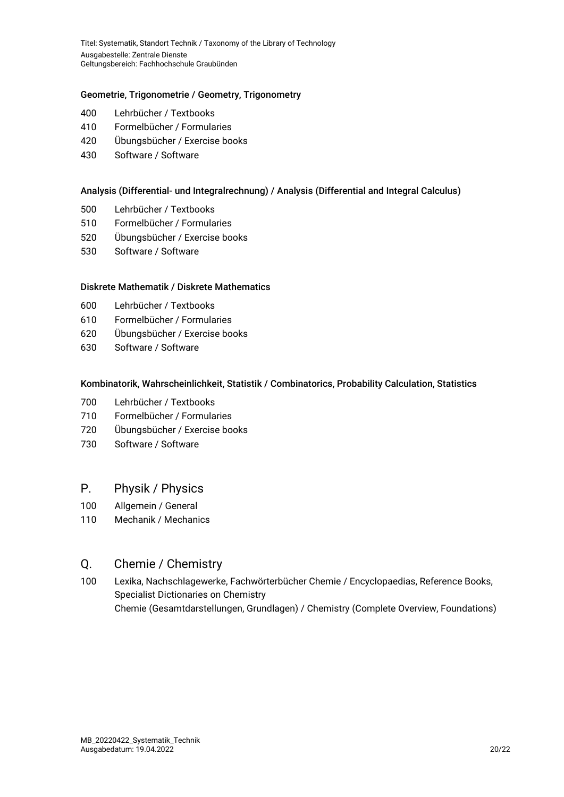#### Geometrie, Trigonometrie / Geometry, Trigonometry

- 400 Lehrbücher / Textbooks
- 410 Formelbücher / Formularies
- 420 Übungsbücher / Exercise books
- 430 Software / Software

#### Analysis (Differential- und Integralrechnung) / Analysis (Differential and Integral Calculus)

- 500 Lehrbücher / Textbooks
- 510 Formelbücher / Formularies
- 520 Übungsbücher / Exercise books
- 530 Software / Software

#### Diskrete Mathematik / Diskrete Mathematics

- 600 Lehrbücher / Textbooks
- 610 Formelbücher / Formularies
- 620 Übungsbücher / Exercise books
- 630 Software / Software

#### Kombinatorik, Wahrscheinlichkeit, Statistik / Combinatorics, Probability Calculation, Statistics

- 700 Lehrbücher / Textbooks
- 710 Formelbücher / Formularies
- 720 Übungsbücher / Exercise books
- 730 Software / Software

### <span id="page-19-0"></span>P. Physik / Physics

- 100 Allgemein / General
- 110 Mechanik / Mechanics

### <span id="page-19-1"></span>Q. Chemie / Chemistry

<span id="page-19-2"></span>100 Lexika, Nachschlagewerke, Fachwörterbücher Chemie / Encyclopaedias, Reference Books, Specialist Dictionaries on Chemistry Chemie (Gesamtdarstellungen, Grundlagen) / Chemistry (Complete Overview, Foundations)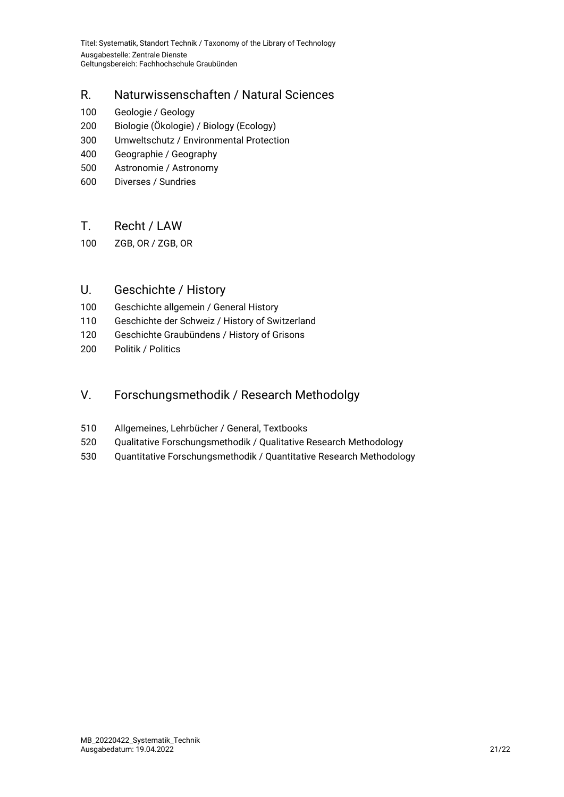# R. Naturwissenschaften / Natural Sciences

- 100 Geologie / Geology
- 200 Biologie (Ökologie) / Biology (Ecology)
- 300 Umweltschutz / Environmental Protection
- 400 Geographie / Geography
- 500 Astronomie / Astronomy
- 600 Diverses / Sundries

### <span id="page-20-0"></span>T. Recht / LAW

100 ZGB, OR / ZGB, OR

# <span id="page-20-1"></span>U. Geschichte / History

- 100 Geschichte allgemein / General History
- 110 Geschichte der Schweiz / History of Switzerland
- 120 Geschichte Graubündens / History of Grisons
- 200 Politik / Politics

### <span id="page-20-2"></span>V. Forschungsmethodik / Research Methodolgy

- 510 Allgemeines, Lehrbücher / General, Textbooks
- 520 Qualitative Forschungsmethodik / Qualitative Research Methodology
- <span id="page-20-3"></span>530 Quantitative Forschungsmethodik / Quantitative Research Methodology